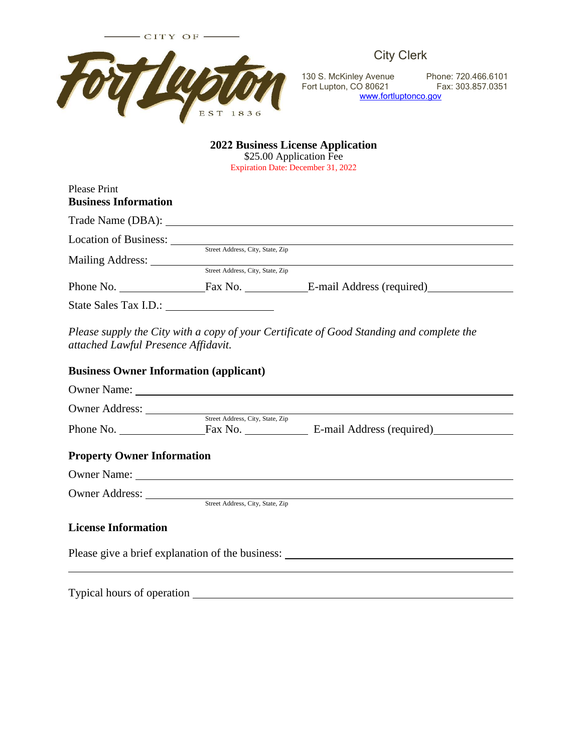

City Clerk

130 S. McKinley Avenue Phone: 720.466.6101 Fort Lupton, CO 80621 Fax: 303.857.0351 [www.fortluptonco.gov](http://www.fortluptonco.gov/)

## **2022 Business License Application**

\$25.00 Application Fee

Expiration Date: December 31, 2022

| <b>Please Print</b>         |                                  |                           |  |
|-----------------------------|----------------------------------|---------------------------|--|
| <b>Business Information</b> |                                  |                           |  |
|                             |                                  |                           |  |
| Location of Business:       |                                  |                           |  |
|                             | Street Address, City, State, Zip |                           |  |
| Mailing Address:            |                                  |                           |  |
|                             | Street Address, City, State, Zip |                           |  |
| Phone No.                   | Fax No.                          | E-mail Address (required) |  |
| State Sales Tax I.D.:       |                                  |                           |  |

*Please supply the City with a copy of your Certificate of Good Standing and complete the attached Lawful Presence Affidavit.*

## **Business Owner Information (applicant)**

|                                   | Owner Name: <u>Queen Communication</u> |                                                  |  |
|-----------------------------------|----------------------------------------|--------------------------------------------------|--|
|                                   |                                        |                                                  |  |
| Phone No.                         | Street Address, City, State, Zip       | Fax No. E-mail Address (required)                |  |
| <b>Property Owner Information</b> |                                        |                                                  |  |
|                                   |                                        |                                                  |  |
|                                   | Street Address, City, State, Zip       |                                                  |  |
| <b>License Information</b>        |                                        |                                                  |  |
|                                   |                                        | Please give a brief explanation of the business: |  |
|                                   |                                        |                                                  |  |
|                                   |                                        |                                                  |  |

Typical hours of operation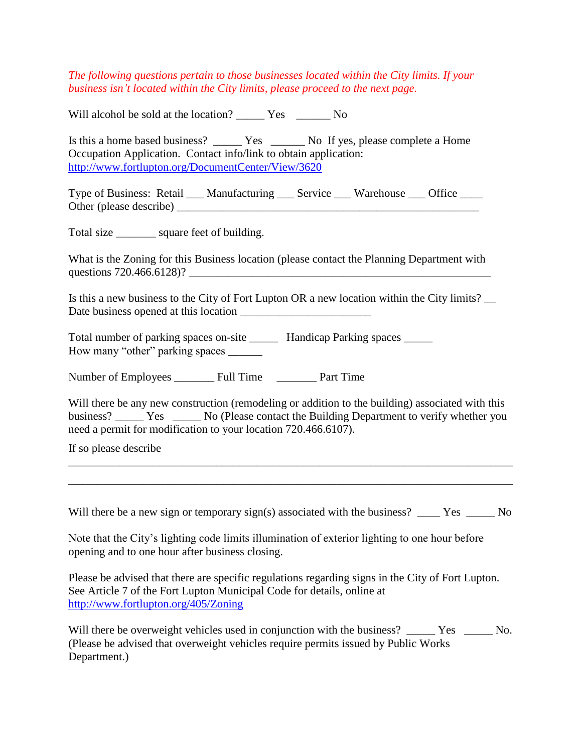*The following questions pertain to those businesses located within the City limits. If your business isn't located within the City limits, please proceed to the next page.* 

Will alcohol be sold at the location? \_\_\_\_\_\_ Yes \_\_\_\_\_\_ No

Is this a home based business? \_\_\_\_\_\_\_ Yes \_\_\_\_\_\_\_ No If yes, please complete a Home Occupation Application. Contact info/link to obtain application: <http://www.fortlupton.org/DocumentCenter/View/3620>

Type of Business: Retail \_\_\_ Manufacturing \_\_\_ Service \_\_\_ Warehouse \_\_\_ Office \_\_\_\_ Other (please describe) \_\_\_\_\_\_\_\_\_\_\_\_\_\_\_\_\_\_\_\_\_\_\_\_\_\_\_\_\_\_\_\_\_\_\_\_\_\_\_\_\_\_\_\_\_\_\_\_\_\_\_\_\_

Total size square feet of building.

What is the Zoning for this Business location (please contact the Planning Department with questions 720.466.6128)?

Is this a new business to the City of Fort Lupton OR a new location within the City limits? Date business opened at this location

Total number of parking spaces on-site \_\_\_\_\_\_ Handicap Parking spaces \_\_\_\_\_ How many "other" parking spaces \_\_\_\_\_\_

Number of Employees Full Time Part Time

Will there be any new construction (remodeling or addition to the building) associated with this business? \_\_\_\_\_\_ Yes \_\_\_\_\_\_ No (Please contact the Building Department to verify whether you need a permit for modification to your location 720.466.6107).

If so please describe

Will there be a new sign or temporary sign(s) associated with the business? \_\_\_\_ Yes \_\_\_\_\_ No

\_\_\_\_\_\_\_\_\_\_\_\_\_\_\_\_\_\_\_\_\_\_\_\_\_\_\_\_\_\_\_\_\_\_\_\_\_\_\_\_\_\_\_\_\_\_\_\_\_\_\_\_\_\_\_\_\_\_\_\_\_\_\_\_\_\_\_\_\_\_\_\_\_\_\_\_\_\_ \_\_\_\_\_\_\_\_\_\_\_\_\_\_\_\_\_\_\_\_\_\_\_\_\_\_\_\_\_\_\_\_\_\_\_\_\_\_\_\_\_\_\_\_\_\_\_\_\_\_\_\_\_\_\_\_\_\_\_\_\_\_\_\_\_\_\_\_\_\_\_\_\_\_\_\_\_\_

Note that the City's lighting code limits illumination of exterior lighting to one hour before opening and to one hour after business closing.

Please be advised that there are specific regulations regarding signs in the City of Fort Lupton. See Article 7 of the Fort Lupton Municipal Code for details, online at <http://www.fortlupton.org/405/Zoning>

Will there be overweight vehicles used in conjunction with the business? \_\_\_\_\_ Yes \_\_\_\_\_ No. (Please be advised that overweight vehicles require permits issued by Public Works Department.)